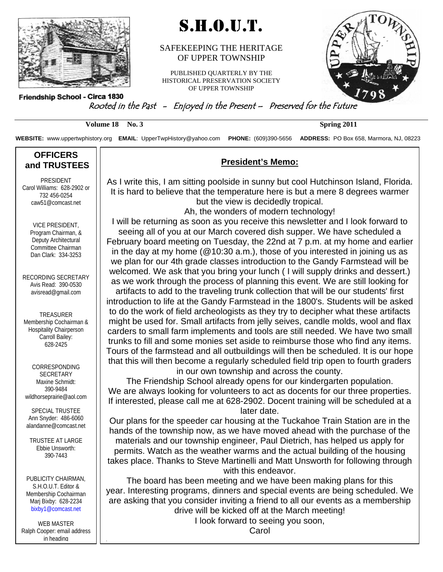

# S.H.O.U.T.

#### SAFEKEEPING THE HERITAGE OF UPPER TOWNSHIP

PUBLISHED QUARTERLY BY THE HISTORICAL PRESERVATION SOCIETY OF UPPER TOWNSHIP



Friendship School - Circa 1830

### Rooted in the Past - Enjoyed in the Present – Preserved for the Future

**Volume 18 No. 3** Spring 2011

**WEBSITE:** www.uppertwphistory.org **EMAIL**: UpperTwpHistory@yahoo.com **PHONE:** (609)390-5656 **ADDRESS:** PO Box 658, Marmora, NJ, 08223

#### **OFFICERS and TRUSTEES**

PRESIDENT Carol Williams: 628-2902 or 732 456-0254 caw51@comcast.net

> VICE PRESIDENT, Program Chairman, & Deputy Architectural Committee Chairman Dan Clark: 334-3253

RECORDING SECRETARY Avis Read: 390-0530 avisread@gmail.com

TREASURER Membership Cochairman & Hospitality Chairperson Carroll Bailey: 628-2425

CORRESPONDING SECRETARY Maxine Schmidt: 390-9484 wildhorseprairie@aol.com

SPECIAL TRUSTEE Ann Snyder: 486-6060 alandanne@comcast.net

TRUSTEE AT LARGE Ebbie Unsworth: 390-7443

PUBLICITY CHAIRMAN, S.H.O.U.T. Editor & Membership Cochairman Marj Bixby: 628-2234 bixby1@comcast.net

WEB MASTER Ralph Cooper: email address in heading

### **President's Memo:**

As I write this, I am sitting poolside in sunny but cool Hutchinson Island, Florida. It is hard to believe that the temperature here is but a mere 8 degrees warmer but the view is decidedly tropical. Ah, the wonders of modern technology!

I will be returning as soon as you receive this newsletter and I look forward to seeing all of you at our March covered dish supper. We have scheduled a

February board meeting on Tuesday, the 22nd at 7 p.m. at my home and earlier in the day at my home (@10:30 a.m.), those of you interested in joining us as we plan for our 4th grade classes introduction to the Gandy Farmstead will be welcomed. We ask that you bring your lunch ( I will supply drinks and dessert.) as we work through the process of planning this event. We are still looking for

artifacts to add to the traveling trunk collection that will be our students' first introduction to life at the Gandy Farmstead in the 1800's. Students will be asked to do the work of field archeologists as they try to decipher what these artifacts might be used for. Small artifacts from jelly seives, candle molds, wool and flax carders to small farm implements and tools are still needed. We have two small trunks to fill and some monies set aside to reimburse those who find any items. Tours of the farmstead and all outbuildings will then be scheduled. It is our hope that this will then become a regularly scheduled field trip open to fourth graders in our own township and across the county.

The Friendship School already opens for our kindergarten population. We are always looking for volunteers to act as docents for our three properties. If interested, please call me at 628-2902. Docent training will be scheduled at a later date.

Our plans for the speeder car housing at the Tuckahoe Train Station are in the hands of the township now, as we have moved ahead with the purchase of the materials and our township engineer, Paul Dietrich, has helped us apply for permits. Watch as the weather warms and the actual building of the housing takes place. Thanks to Steve Martinelli and Matt Unsworth for following through with this endeavor.

The board has been meeting and we have been making plans for this year. Interesting programs, dinners and special events are being scheduled. We are asking that you consider inviting a friend to all our events as a membership drive will be kicked off at the March meeting!

I look forward to seeing you soon,

Carol .

<u>.</u>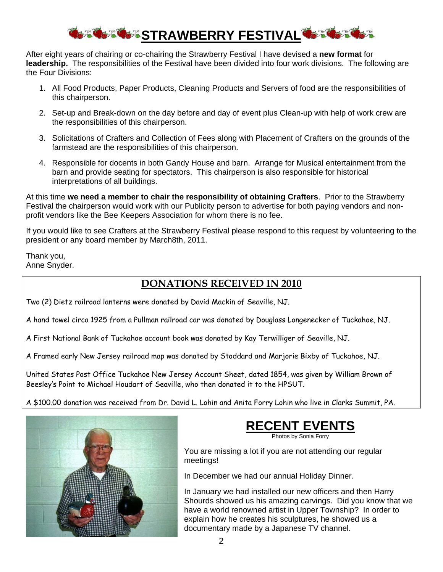# **STRAWBERRY FESTIVAL OF THE**

After eight years of chairing or co-chairing the Strawberry Festival I have devised a **new format** for **leadership.** The responsibilities of the Festival have been divided into four work divisions. The following are the Four Divisions:

- 1. All Food Products, Paper Products, Cleaning Products and Servers of food are the responsibilities of this chairperson.
- 2. Set-up and Break-down on the day before and day of event plus Clean-up with help of work crew are the responsibilities of this chairperson.
- 3. Solicitations of Crafters and Collection of Fees along with Placement of Crafters on the grounds of the farmstead are the responsibilities of this chairperson.
- 4. Responsible for docents in both Gandy House and barn. Arrange for Musical entertainment from the barn and provide seating for spectators. This chairperson is also responsible for historical interpretations of all buildings.

At this time **we need a member to chair the responsibility of obtaining Crafters**. Prior to the Strawberry Festival the chairperson would work with our Publicity person to advertise for both paying vendors and nonprofit vendors like the Bee Keepers Association for whom there is no fee.

If you would like to see Crafters at the Strawberry Festival please respond to this request by volunteering to the president or any board member by March8th, 2011.

Thank you, Anne Snyder.

### **DONATIONS RECEIVED IN 2010**

Two (2) Dietz railroad lanterns were donated by David Mackin of Seaville, NJ.

A hand towel circa 1925 from a Pullman railroad car was donated by Douglass Longenecker of Tuckahoe, NJ.

A First National Bank of Tuckahoe account book was donated by Kay Terwilliger of Seaville, NJ.

A Framed early New Jersey railroad map was donated by Stoddard and Marjorie Bixby of Tuckahoe, NJ.

United States Post Office Tuckahoe New Jersey Account Sheet, dated 1854, was given by William Brown of Beesley's Point to Michael Houdart of Seaville, who then donated it to the HPSUT.

A \$100.00 donation was received from Dr. David L. Lohin and Anita Forry Lohin who live in Clarks Summit, PA.





Photos by Sonia Forry

You are missing a lot if you are not attending our regular meetings!

In December we had our annual Holiday Dinner.

In January we had installed our new officers and then Harry Shourds showed us his amazing carvings. Did you know that we have a world renowned artist in Upper Township? In order to explain how he creates his sculptures, he showed us a documentary made by a Japanese TV channel.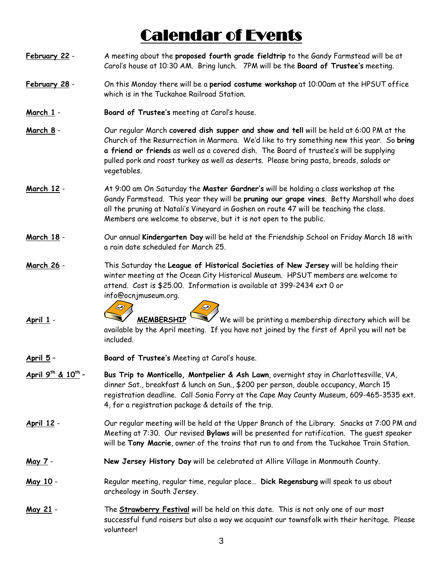# Calendar of Events

- **February 22** A meeting about the **proposed fourth grade fieldtrip** to the Gandy Farmstead will be at Carol's house at 10:30 AM. Bring lunch. 7PM will be the **Board of Trustee's** meeting.
- **February 28** On this Monday there will be a **period costume workshop** at 10:00am at the HPSUT office which is in the Tuckahoe Railroad Station.
- **March 1 Board of Trustee's** meeting at Carol's house.
- **March 8** Our regular March **covered dish supper and show and tell** will be held at 6:00 PM at the Church of the Resurrection in Marmora. We'd like to try something new this year. So **bring a friend or friends** as well as a covered dish. The Board of trustee's will be supplying pulled pork and roast turkey as well as deserts. Please bring pasta, breads, salads or vegetables.
- **March 12** At 9:00 am On Saturday the **Master Gardner's** will be holding a class workshop at the Gandy Farmstead. This year they will be **pruning our grape vines**. Betty Marshall who does all the pruning at Natali's Vineyard in Goshen on route 47 will be teaching the class. Members are welcome to observe, but it is not open to the public.
- **March 18** Our annual **Kindergarten Day** will be held at the Friendship School on Friday March 18 with a rain date scheduled for March 25.
- **March 26** This Saturday the **League of Historical Societies of New Jersey** will be holding their winter meeting at the Ocean City Historical Museum. HPSUT members are welcome to attend. Cost is \$25.00. Information is available at 399-2434 ext 0 or info@ocnjmuseum.org.
- $\bigotimes$ **April 1** - **MEMBERSHIP** We will be printing a membership directory which will be available by the April meeting. If you have not joined by the first of April you will not be included.
- **April 5 Board of Trustee's** Meeting at Carol's house.
- **April 9th & 10th Bus Trip to Monticello, Montpelier & Ash Lawn**, overnight stay in Charlottesville, VA, dinner Sat., breakfast & lunch on Sun., \$200 per person, double occupancy, March 15 registration deadline. Call Sonia Forry at the Cape May County Museum, 609-465-3535 ext. 4, for a registration package & details of the trip.
- **April 12** Our regular meeting will be held at the Upper Branch of the Library. Snacks at 7:00 PM and Meeting at 7:30. Our revised **Bylaws** will be presented for ratification. The guest speaker will be **Tony Macrie**, owner of the trains that run to and from the Tuckahoe Train Station.
- **May 7 New Jersey History Day** will be celebrated at Allire Village in Monmouth County.
- **May 10** Regular meeting, regular time, regular place… **Dick Regensburg** will speak to us about archeology in South Jersey.
- **May 21** The **Strawberry Festival** will be held on this date. This is not only one of our most successful fund raisers but also a way we acquaint our townsfolk with their heritage. Please volunteer!